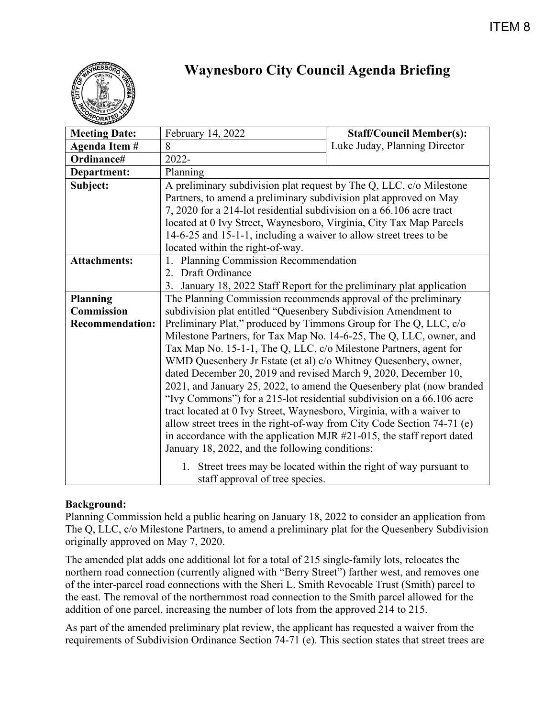

# **Waynesboro City Council Agenda Briefing**

| <b>Meeting Date:</b>   | February 14, 2022                                                                                     | <b>Staff/Council Member(s):</b> |
|------------------------|-------------------------------------------------------------------------------------------------------|---------------------------------|
| Agenda Item #          | 8                                                                                                     | Luke Juday, Planning Director   |
| Ordinance#             | 2022-                                                                                                 |                                 |
| <b>Department:</b>     | Planning                                                                                              |                                 |
| Subject:               | A preliminary subdivision plat request by The Q, LLC, c/o Milestone                                   |                                 |
|                        | Partners, to amend a preliminary subdivision plat approved on May                                     |                                 |
|                        | 7, 2020 for a 214-lot residential subdivision on a 66.106 acre tract                                  |                                 |
|                        | located at 0 Ivy Street, Waynesboro, Virginia, City Tax Map Parcels                                   |                                 |
|                        | 14-6-25 and 15-1-1, including a waiver to allow street trees to be                                    |                                 |
|                        | located within the right-of-way.                                                                      |                                 |
| <b>Attachments:</b>    | Planning Commission Recommendation                                                                    |                                 |
|                        | 2. Draft Ordinance                                                                                    |                                 |
|                        | 3.<br>January 18, 2022 Staff Report for the preliminary plat application                              |                                 |
| <b>Planning</b>        | The Planning Commission recommends approval of the preliminary                                        |                                 |
| <b>Commission</b>      | subdivision plat entitled "Quesenbery Subdivision Amendment to                                        |                                 |
| <b>Recommendation:</b> | Preliminary Plat," produced by Timmons Group for The Q, LLC, c/o                                      |                                 |
|                        | Milestone Partners, for Tax Map No. 14-6-25, The Q, LLC, owner, and                                   |                                 |
|                        | Tax Map No. 15-1-1, The Q, LLC, c/o Milestone Partners, agent for                                     |                                 |
|                        | WMD Quesenbery Jr Estate (et al) c/o Whitney Quesenbery, owner,                                       |                                 |
|                        | dated December 20, 2019 and revised March 9, 2020, December 10,                                       |                                 |
|                        | 2021, and January 25, 2022, to amend the Quesenbery plat (now branded                                 |                                 |
|                        | "Ivy Commons") for a 215-lot residential subdivision on a 66.106 acre                                 |                                 |
|                        | tract located at 0 Ivy Street, Waynesboro, Virginia, with a waiver to                                 |                                 |
|                        | allow street trees in the right-of-way from City Code Section 74-71 (e)                               |                                 |
|                        | in accordance with the application MJR $#21-015$ , the staff report dated                             |                                 |
|                        | January 18, 2022, and the following conditions:                                                       |                                 |
|                        | 1. Street trees may be located within the right of way pursuant to<br>staff approval of tree species. |                                 |

## **Background:**

Planning Commission held a public hearing on January 18, 2022 to consider an application from The Q, LLC, c/o Milestone Partners, to amend a preliminary plat for the Quesenbery Subdivision originally approved on May 7, 2020.

The amended plat adds one additional lot for a total of 215 single-family lots, relocates the northern road connection (currently aligned with "Berry Street") farther west, and removes one of the inter-parcel road connections with the Sheri L. Smith Revocable Trust (Smith) parcel to the east. The removal of the northernmost road connection to the Smith parcel allowed for the addition of one parcel, increasing the number of lots from the approved 214 to 215.

As part of the amended preliminary plat review, the applicant has requested a waiver from the requirements of Subdivision Ordinance Section 74-71 (e). This section states that street trees are